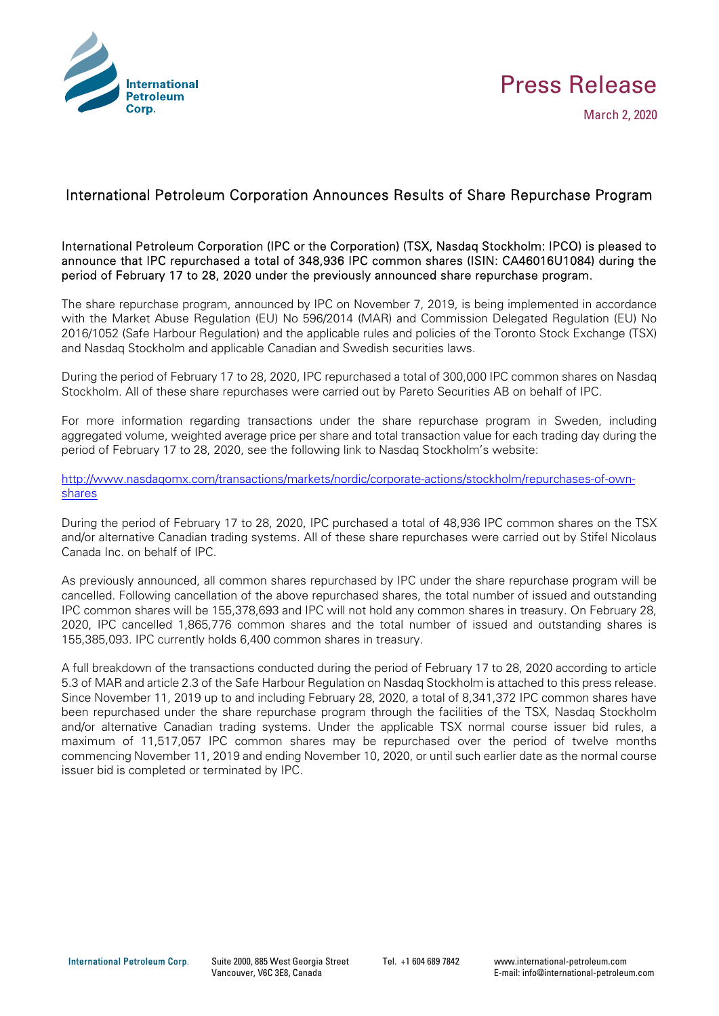



## International Petroleum Corporation Announces Results of Share Repurchase Program

International Petroleum Corporation (IPC or the Corporation) (TSX, Nasdaq Stockholm: IPCO) is pleased to announce that IPC repurchased a total of 348,936 IPC common shares (ISIN: CA46016U1084) during the period of February 17 to 28, 2020 under the previously announced share repurchase program.

The share repurchase program, announced by IPC on November 7, 2019, is being implemented in accordance with the Market Abuse Regulation (EU) No 596/2014 (MAR) and Commission Delegated Regulation (EU) No 2016/1052 (Safe Harbour Regulation) and the applicable rules and policies of the Toronto Stock Exchange (TSX) and Nasdaq Stockholm and applicable Canadian and Swedish securities laws.

During the period of February 17 to 28, 2020, IPC repurchased a total of 300,000 IPC common shares on Nasdaq Stockholm. All of these share repurchases were carried out by Pareto Securities AB on behalf of IPC.

For more information regarding transactions under the share repurchase program in Sweden, including aggregated volume, weighted average price per share and total transaction value for each trading day during the period of February 17 to 28, 2020, see the following link to Nasdaq Stockholm's website:

http://www.nasdaqomx.com/transactions/markets/nordic/corporate-actions/stockholm/repurchases-of-ownshares

During the period of February 17 to 28, 2020, IPC purchased a total of 48,936 IPC common shares on the TSX and/or alternative Canadian trading systems. All of these share repurchases were carried out by Stifel Nicolaus Canada Inc. on behalf of IPC.

As previously announced, all common shares repurchased by IPC under the share repurchase program will be cancelled. Following cancellation of the above repurchased shares, the total number of issued and outstanding IPC common shares will be 155,378,693 and IPC will not hold any common shares in treasury. On February 28, 2020, IPC cancelled 1,865,776 common shares and the total number of issued and outstanding shares is 155,385,093. IPC currently holds 6,400 common shares in treasury.

A full breakdown of the transactions conducted during the period of February 17 to 28, 2020 according to article 5.3 of MAR and article 2.3 of the Safe Harbour Regulation on Nasdaq Stockholm is attached to this press release. Since November 11, 2019 up to and including February 28, 2020, a total of 8,341,372 IPC common shares have been repurchased under the share repurchase program through the facilities of the TSX, Nasdaq Stockholm and/or alternative Canadian trading systems. Under the applicable TSX normal course issuer bid rules, a maximum of 11,517,057 IPC common shares may be repurchased over the period of twelve months commencing November 11, 2019 and ending November 10, 2020, or until such earlier date as the normal course issuer bid is completed or terminated by IPC.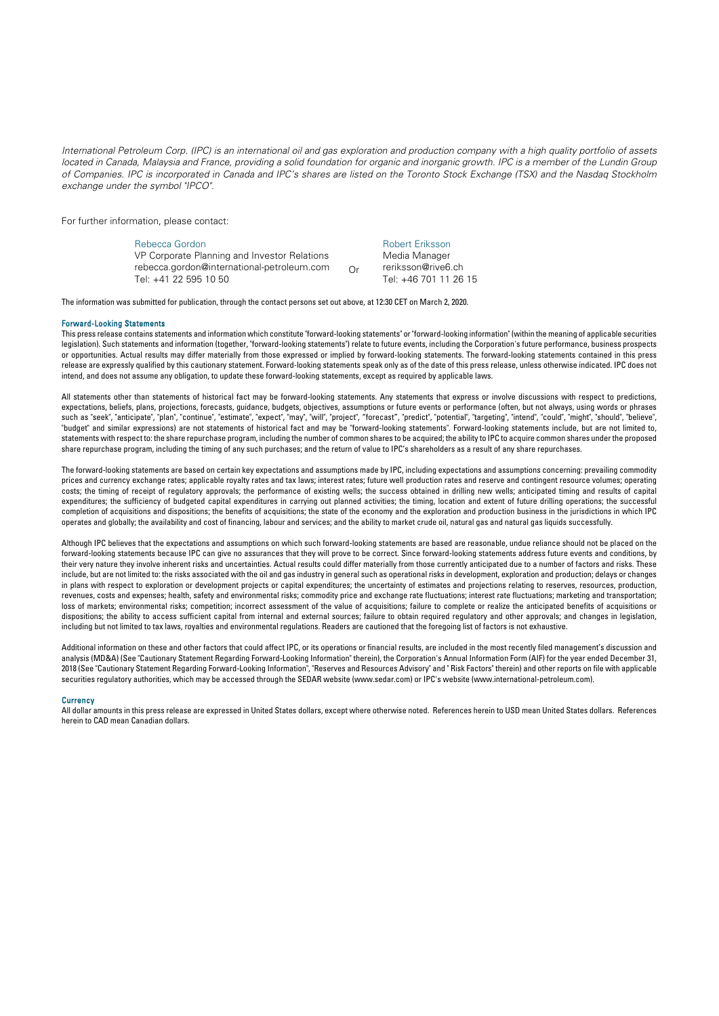*International Petroleum Corp. (IPC) is an international oil and gas exploration and production company with a high quality portfolio of assets*  located in Canada, Malaysia and France, providing a solid foundation for organic and inorganic growth. IPC is a member of the Lundin Group *of Companies. IPC is incorporated in Canada and IPC's shares are listed on the Toronto Stock Exchange (TSX) and the Nasdaq Stockholm exchange under the symbol "IPCO".* 

For further information, please contact:

Rebecca Gordon VP Corporate Planning and Investor Relations rebecca.gordon@international-petroleum.com Tel: +41 22 595 10 50 Or Robert Eriksson Media Manager reriksson@rive6.ch Tel: +46 701 11 26 15

The information was submitted for publication, through the contact persons set out above, at 12:30 CET on March 2, 2020.

## Forward-Looking Statements

This press release contains statements and information which constitute "forward-looking statements" or "forward-looking information" (within the meaning of applicable securities legislation). Such statements and information (together, "forward-looking statements") relate to future events, including the Corporation's future performance, business prospects or opportunities. Actual results may differ materially from those expressed or implied by forward-looking statements. The forward-looking statements contained in this press release are expressly qualified by this cautionary statement. Forward-looking statements speak only as of the date of this press release, unless otherwise indicated. IPC does not intend, and does not assume any obligation, to update these forward-looking statements, except as required by applicable laws.

All statements other than statements of historical fact may be forward-looking statements. Any statements that express or involve discussions with respect to predictions, expectations, beliefs, plans, projections, forecasts, guidance, budgets, objectives, assumptions or future events or performance (often, but not always, using words or phrases such as "seek", "anticipate", "plan", "continue", "estimate", "expect", "may", "will", "project", "forecast", "predict", "potential", "targeting", "intend", "could", "might", "should", "believe", "budget" and similar expressions) are not statements of historical fact and may be "forward-looking statements". Forward-looking statements include, but are not limited to, statements with respect to: the share repurchase program, including the number of common shares to be acquired; the ability to IPC to acquire common shares under the proposed share repurchase program, including the timing of any such purchases; and the return of value to IPC's shareholders as a result of any share repurchases.

The forward-looking statements are based on certain key expectations and assumptions made by IPC, including expectations and assumptions concerning: prevailing commodity prices and currency exchange rates; applicable royalty rates and tax laws; interest rates; future well production rates and reserve and contingent resource volumes; operating costs; the timing of receipt of regulatory approvals; the performance of existing wells; the success obtained in drilling new wells; anticipated timing and results of capital expenditures; the sufficiency of budgeted capital expenditures in carrying out planned activities; the timing, location and extent of future drilling operations; the successful completion of acquisitions and dispositions; the benefits of acquisitions; the state of the economy and the exploration and production business in the jurisdictions in which IPC operates and globally; the availability and cost of financing, labour and services; and the ability to market crude oil, natural gas and natural gas liquids successfully.

Although IPC believes that the expectations and assumptions on which such forward-looking statements are based are reasonable, undue reliance should not be placed on the forward-looking statements because IPC can give no assurances that they will prove to be correct. Since forward-looking statements address future events and conditions, by their very nature they involve inherent risks and uncertainties. Actual results could differ materially from those currently anticipated due to a number of factors and risks. These include, but are not limited to: the risks associated with the oil and gas industry in general such as operational risks in development, exploration and production; delays or changes in plans with respect to exploration or development projects or capital expenditures; the uncertainty of estimates and projections relating to reserves, resources, production, revenues, costs and expenses; health, safety and environmental risks; commodity price and exchange rate fluctuations; interest rate fluctuations; marketing and transportation; loss of markets; environmental risks; competition; incorrect assessment of the value of acquisitions; failure to complete or realize the anticipated benefits of acquisitions or dispositions; the ability to access sufficient capital from internal and external sources; failure to obtain required regulatory and other approvals; and changes in legislation, including but not limited to tax laws, royalties and environmental regulations. Readers are cautioned that the foregoing list of factors is not exhaustive.

Additional information on these and other factors that could affect IPC, or its operations or financial results, are included in the most recently filed management's discussion and analysis (MD&A) (See "Cautionary Statement Regarding Forward-Looking Information" therein), the Corporation's Annual Information Form (AIF) for the year ended December 31, 2018 (See "Cautionary Statement Regarding Forward-Looking Information", "Reserves and Resources Advisory" and " Risk Factors" therein) and other reports on file with applicable securities regulatory authorities, which may be accessed through the SEDAR website (www.sedar.com) or IPC's website (www.international-petroleum.com).

## **Currency**

All dollar amounts in this press release are expressed in United States dollars, except where otherwise noted. References herein to USD mean United States dollars. References herein to CAD mean Canadian dollars.